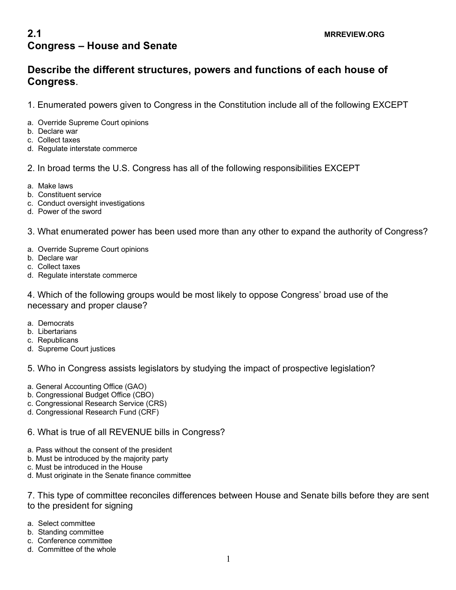# **2.1** MRREVIEW.ORG **Congress – House and Senate**

## **Describe the different structures, powers and functions of each house of Congress**.

- 1. Enumerated powers given to Congress in the Constitution include all of the following EXCEPT
- a. Override Supreme Court opinions
- b. Declare war
- c. Collect taxes
- d. Regulate interstate commerce

#### 2. In broad terms the U.S. Congress has all of the following responsibilities EXCEPT

- a. Make laws
- b. Constituent service
- c. Conduct oversight investigations
- d. Power of the sword

#### 3. What enumerated power has been used more than any other to expand the authority of Congress?

- a. Override Supreme Court opinions
- b. Declare war
- c. Collect taxes
- d. Regulate interstate commerce

4. Which of the following groups would be most likely to oppose Congress' broad use of the necessary and proper clause?

- a. Democrats
- b. Libertarians
- c. Republicans
- d. Supreme Court justices

### 5. Who in Congress assists legislators by studying the impact of prospective legislation?

- a. General Accounting Office (GAO)
- b. Congressional Budget Office (CBO)
- c. Congressional Research Service (CRS)
- d. Congressional Research Fund (CRF)

#### 6. What is true of all REVENUE bills in Congress?

- a. Pass without the consent of the president
- b. Must be introduced by the majority party
- c. Must be introduced in the House
- d. Must originate in the Senate finance committee

7. This type of committee reconciles differences between House and Senate bills before they are sent to the president for signing

- a. Select committee
- b. Standing committee
- c. Conference committee
- d. Committee of the whole